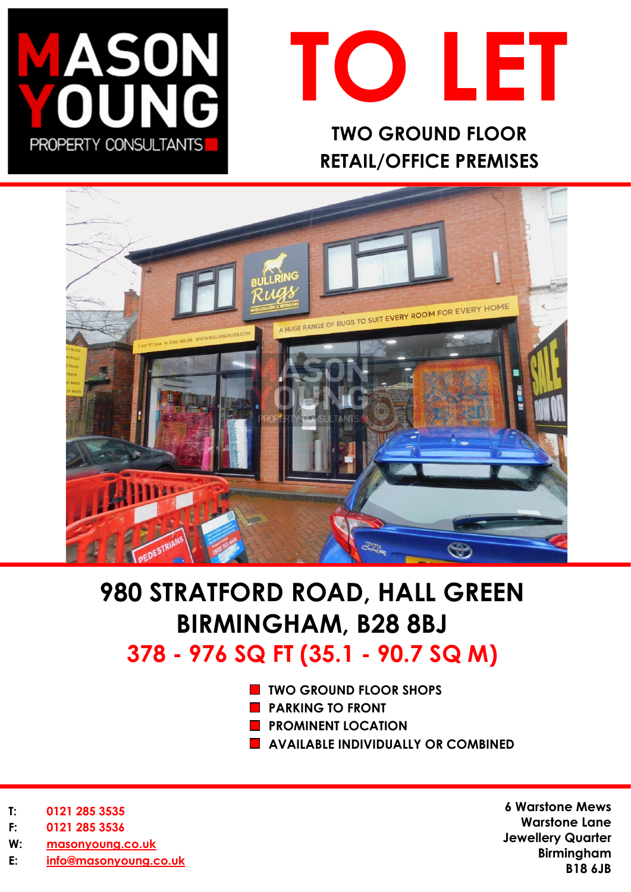



# **TWO GROUND FLOOR RETAIL/OFFICE PREMISES**



# **980 STRATFORD ROAD, HALL GREEN BIRMINGHAM, B28 8BJ 378 - 976 SQ FT (35.1 - 90.7 SQ M)**

- **TWO GROUND FLOOR SHOPS**
- **PARKING TO FRONT**
- **PROMINENT LOCATION**
- **AVAILABLE INDIVIDUALLY OR COMBINED**

- **T: 0121 285 3535**
- **F: 0121 285 3536**
- **W: [masonyoung.co.uk](http://www.masonyoung.co.uk/)**
- **E: [info@masonyoung.co.uk](mailto:info@masonyoung.co.uk)**

**6 Warstone Mews Warstone Lane Jewellery Quarter Birmingham B18 6JB**